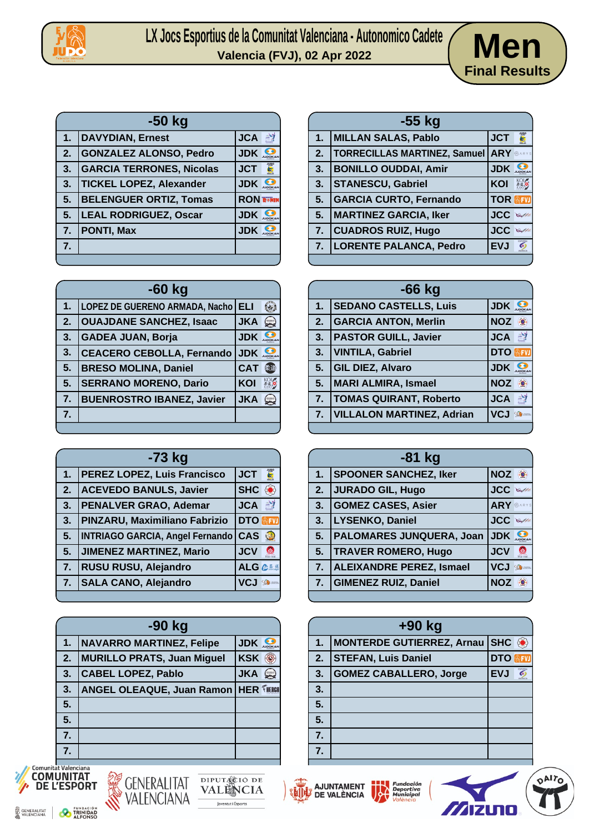

## LX Jocs Esportius de la Comunitat Valenciana - Autonomico Cadete<br>Valencia (FVJ), 02 Apr 2022



| $-50$ kg |                                 |                  |               |
|----------|---------------------------------|------------------|---------------|
| 1.       | <b>DAVYDIAN, Ernest</b>         | <b>JCA</b>       | $\frac{1}{2}$ |
| 2.       | <b>GONZALEZ ALONSO, Pedro</b>   | <b>JDK</b>       |               |
| 3.       | <b>GARCIA TERRONES, Nicolas</b> | <b>JCT</b>       |               |
| 3.       | <b>TICKEL LOPEZ, Alexander</b>  | <b>JDK</b>       |               |
| 5.       | <b>BELENGUER ORTIZ, Tomas</b>   | <b>RON TONIN</b> |               |
| 5.       | <b>LEAL RODRIGUEZ, Oscar</b>    | <b>JDK</b>       |               |
| 7.       | <b>PONTI, Max</b>               | <b>JDK</b>       |               |
| 7.       |                                 |                  |               |
|          |                                 |                  |               |

|    | $-60$ kg                              |            |                  |
|----|---------------------------------------|------------|------------------|
| 1. | <b>LOPEZ DE GUERENO ARMADA, Nacho</b> | <b>ELI</b> |                  |
| 2. | <b>OUAJDANE SANCHEZ, Isaac</b>        | <b>JKA</b> | سک               |
| 3. | <b>GADEA JUAN, Borja</b>              | <b>JDK</b> |                  |
| 3. | <b>CEACERO CEBOLLA, Fernando</b>      | <b>JDK</b> |                  |
| 5. | <b>BRESO MOLINA, Daniel</b>           | <b>CAT</b> |                  |
| 5. | <b>SERRANO MORENO, Dario</b>          | KOI        |                  |
| 7. | <b>BUENROSTRO IBANEZ, Javier</b>      | <b>JKA</b> | ( <sub>Sma</sub> |
| 7. |                                       |            |                  |
|    |                                       |            |                  |

|               | -73 kg                                 |            |                  |
|---------------|----------------------------------------|------------|------------------|
| $\mathbf 1$ . | <b>PEREZ LOPEZ, Luis Francisco</b>     | <b>JCT</b> |                  |
| 2.            | <b>ACEVEDO BANULS, Javier</b>          | <b>SHC</b> |                  |
| 3.            | <b>PENALVER GRAO, Ademar</b>           | <b>JCA</b> | 鹂                |
| 3.            | PINZARU, Maximiliano Fabrizio          | <b>DTO</b> |                  |
| 5.            | <b>INTRIAGO GARCIA, Angel Fernando</b> | <b>CAS</b> |                  |
| 5.            | <b>JIMENEZ MARTINEZ, Mario</b>         | <b>JCV</b> |                  |
| 7.            | RUSU RUSU, Alejandro                   | <b>ALG</b> | 企業進              |
| 7.            | <b>SALA CANO, Alejandro</b>            | VC.        | <b>September</b> |
|               |                                        |            |                  |

| $-90$ kg         |                                            |            |  |
|------------------|--------------------------------------------|------------|--|
| 1.               | NAVARRO MARTINEZ, Felipe                   | <b>JDK</b> |  |
| 2.               | <b>MURILLO PRATS, Juan Miguel</b>          | <b>KSK</b> |  |
| 3.               | <b>CABEL LOPEZ, Pablo</b>                  | <b>JKA</b> |  |
| 3.               | <b>ANGEL OLEAQUE, Juan Ramon HER THERE</b> |            |  |
| 5.               |                                            |            |  |
| 5.               |                                            |            |  |
| $\overline{7}$ . |                                            |            |  |
|                  |                                            |            |  |



| GENERALITAT |  |
|-------------|--|
|             |  |







| $-55$ kg |                                     |                            |
|----------|-------------------------------------|----------------------------|
|          | 1. MILLAN SALAS, Pablo              | <b>JCT</b>                 |
| 2.       | <b>TORRECILLAS MARTINEZ, Samuel</b> | <b>ARY SARYS</b>           |
| 3.       | <b>BONILLO OUDDAI, Amir</b>         | <b>JDK</b>                 |
| 3.       | <b>STANESCU, Gabriel</b>            | KOI                        |
| 5.       | <b>GARCIA CURTO, Fernando</b>       | <b>TOR AFVI</b>            |
| 5.       | <b>MARTINEZ GARCIA, Iker</b>        | <b>JCC</b><br>$\mathbb{Q}$ |
| 7.       | <b>CUADROS RUIZ, Hugo</b>           | <b>JCC</b><br>$\mathbb{Q}$ |
| 7.       | <b>LORENTE PALANCA, Pedro</b>       | $\delta$<br><b>EVJ</b>     |
|          |                                     |                            |

| $-66$ kg |                                  |                               |
|----------|----------------------------------|-------------------------------|
| 1.       | <b>SEDANO CASTELLS, Luis</b>     | <b>JDK</b>                    |
| 2.       | <b>GARCIA ANTON, Merlin</b>      | <b>NOZ</b><br>$\cdot \bullet$ |
| 3.       | <b>PASTOR GUILL, Javier</b>      | <b>JCA</b><br>$^{\circ}$      |
| 3.       | <b>VINTILA, Gabriel</b>          | <b>DTO REVI</b>               |
| 5.       | <b>GIL DIEZ, Alvaro</b>          | <b>JDK</b>                    |
| 5.       | MARI ALMIRA, Ismael              | <b>NOZ</b><br>$\cdot \bullet$ |
| 7.       | <b>TOMAS QUIRANT, Roberto</b>    | <b>JCA</b><br>$^{\circ}$      |
| 7.       | <b>VILLALON MARTINEZ, Adrian</b> | <b>VCJ</b><br><b>Same</b>     |
|          |                                  |                               |

| $-81$ kg       |                                 |                  |                  |
|----------------|---------------------------------|------------------|------------------|
| 1 <sub>1</sub> | <b>SPOONER SANCHEZ, Iker</b>    | NOZ <sup>®</sup> |                  |
| 2.             | JURADO GIL, Hugo                | <b>JCC</b>       |                  |
| 3.             | <b>GOMEZ CASES, Asier</b>       | ARY SARYS        |                  |
| 3.             | LYSENKO, Daniel                 | <b>JCC</b>       |                  |
| 5 <sub>1</sub> | <b>PALOMARES JUNQUERA, Joan</b> | <b>JDK</b>       |                  |
| 5.             | <b>TRAVER ROMERO, Hugo</b>      | <b>JCV</b>       |                  |
| 7.             | ALEIXANDRE PEREZ, Ismael        | <b>VCJ</b>       | <b>Salar</b> mem |
|                | 7.   GIMENEZ RUIZ, Daniel       | <b>NOZ</b>       |                  |
|                |                                 |                  |                  |

| +90 kg |                                  |            |                           |
|--------|----------------------------------|------------|---------------------------|
| 1.     | <b>MONTERDE GUTIERREZ, Arnau</b> | <b>SHC</b> | $\langle \bullet \rangle$ |
| 2.     | <b>STEFAN, Luis Daniel</b>       | <b>DTO</b> |                           |
| 3.     | <b>GOMEZ CABALLERO, Jorge</b>    | <b>EVJ</b> | $\overline{6}$            |
| 3.     |                                  |            |                           |
| 5.     |                                  |            |                           |
| 5.     |                                  |            |                           |
| 7.     |                                  |            |                           |
| 7.     |                                  |            |                           |